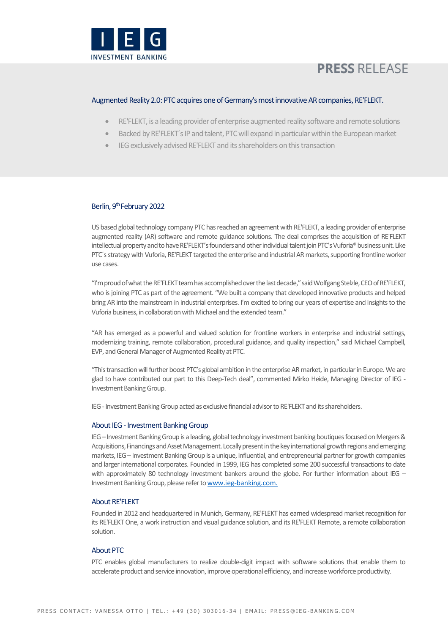

# **PRESS RELEASE**

### Augmented Reality 2.0: PTC acquires one of Germany's most innovative AR companies, RE'FLEKT.

- RE'FLEKT, is a leading provider of enterprise augmented reality software and remote solutions
- Backed by RE'FLEKT´s IP and talent, PTC will expand in particular within the European market
- IEG exclusively advised RE'FLEKT and its shareholders on this transaction

## Berlin, 9<sup>th</sup> February 2022

US based global technology company PTC has reached an agreement with RE'FLEKT, a leading provider of enterprise augmented reality (AR) software and remote guidance solutions. The deal comprises the acquisition of RE'FLEKT intellectual property and to have RE'FLEKT's founders and other individual talent join PTC's Vuforia® business unit. Like PTC´s strategy with Vuforia, RE'FLEKT targeted the enterprise and industrial AR markets, supporting frontline worker use cases.

"I'm proud of what the RE'FLEKT team has accomplished over the last decade," said Wolfgang Stelzle, CEO of RE'FLEKT, who is joining PTC as part of the agreement. "We built a company that developed innovative products and helped bring AR into the mainstream in industrial enterprises. I'm excited to bring our years of expertise and insights to the Vuforia business, in collaboration with Michael and the extended team."

"AR has emerged as a powerful and valued solution for frontline workers in enterprise and industrial settings, modernizing training, remote collaboration, procedural guidance, and quality inspection," said Michael Campbell, EVP, and General Manager of Augmented Reality at PTC.

"This transaction will further boost PTC's global ambition in the enterprise AR market, in particular in Europe. We are glad to have contributed our part to this Deep-Tech deal", commented Mirko Heide, Managing Director of IEG - Investment Banking Group.

IEG -Investment Banking Group acted as exclusive financial advisor to RE'FLEKT and its shareholders.

#### About IEG - Investment Banking Group

IEG –Investment Banking Group is a leading, global technology investment banking boutiques focused on Mergers & Acquisitions, Financings and Asset Management. Locally present in the key international growth regions and emerging markets, IEG – Investment Banking Group is a unique, influential, and entrepreneurial partner for growth companies and larger international corporates. Founded in 1999, IEG has completed some 200 successful transactions to date with approximately 80 technology investment bankers around the globe. For further information about IEG – Investment Banking Group, please refer to www.ieg-banking.com.

#### **About RE'FLEKT**

Founded in 2012 and headquartered in Munich, Germany, RE'FLEKT has earned widespread market recognition for its RE'FLEKT One, a work instruction and visual guidance solution, and its RE'FLEKT Remote, a remote collaboration solution.

#### **About PTC**

PTC enables global manufacturers to realize double-digit impact with software solutions that enable them to accelerate product and service innovation, improve operational efficiency, and increase workforce productivity.